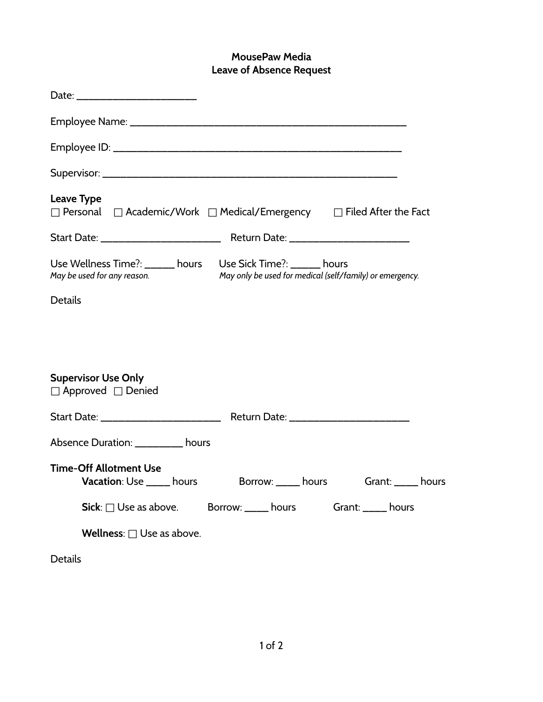## **MousePaw Media Leave of Absence Request**

| <b>Leave Type</b><br>$\Box$ Personal $\Box$ Academic/Work $\Box$ Medical/Emergency $\Box$ Filed After the Fact                                         |
|--------------------------------------------------------------------------------------------------------------------------------------------------------|
|                                                                                                                                                        |
| Use Wellness Time?: _____ hours Use Sick Time?: _____ hours<br>May only be used for medical (self/family) or emergency.<br>May be used for any reason. |
| <b>Details</b>                                                                                                                                         |
|                                                                                                                                                        |
|                                                                                                                                                        |
| <b>Supervisor Use Only</b><br>$\Box$ Approved $\Box$ Denied                                                                                            |
|                                                                                                                                                        |
| Absence Duration: _________ hours                                                                                                                      |
| <b>Time-Off Allotment Use</b><br><b>Vacation</b> : Use _____ hours<br>Borrow: hours Grant: hours                                                       |
| $\mathsf{Sick}:\square$ Use as above. Borrow: ____ hours Grant: ____ hours                                                                             |
| <b>Wellness:</b> $\Box$ Use as above.                                                                                                                  |
| <b>Details</b>                                                                                                                                         |